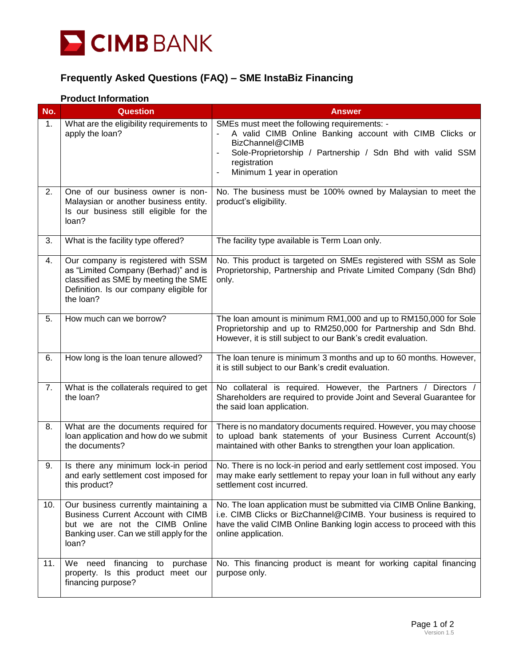

## **Frequently Asked Questions (FAQ) – SME InstaBiz Financing**

## **Product Information**

| No. | <b>Question</b>                                                                                                                                                            | <b>Answer</b>                                                                                                                                                                                                                                                                                   |
|-----|----------------------------------------------------------------------------------------------------------------------------------------------------------------------------|-------------------------------------------------------------------------------------------------------------------------------------------------------------------------------------------------------------------------------------------------------------------------------------------------|
| 1.  | What are the eligibility requirements to<br>apply the loan?                                                                                                                | SMEs must meet the following requirements: -<br>A valid CIMB Online Banking account with CIMB Clicks or<br>BizChannel@CIMB<br>Sole-Proprietorship / Partnership / Sdn Bhd with valid SSM<br>$\overline{\phantom{a}}$<br>registration<br>Minimum 1 year in operation<br>$\overline{\phantom{a}}$ |
| 2.  | One of our business owner is non-<br>Malaysian or another business entity.<br>Is our business still eligible for the<br>loan?                                              | No. The business must be 100% owned by Malaysian to meet the<br>product's eligibility.                                                                                                                                                                                                          |
| 3.  | What is the facility type offered?                                                                                                                                         | The facility type available is Term Loan only.                                                                                                                                                                                                                                                  |
| 4.  | Our company is registered with SSM<br>as "Limited Company (Berhad)" and is<br>classified as SME by meeting the SME<br>Definition. Is our company eligible for<br>the loan? | No. This product is targeted on SMEs registered with SSM as Sole<br>Proprietorship, Partnership and Private Limited Company (Sdn Bhd)<br>only.                                                                                                                                                  |
| 5.  | How much can we borrow?                                                                                                                                                    | The loan amount is minimum RM1,000 and up to RM150,000 for Sole<br>Proprietorship and up to RM250,000 for Partnership and Sdn Bhd.<br>However, it is still subject to our Bank's credit evaluation.                                                                                             |
| 6.  | How long is the loan tenure allowed?                                                                                                                                       | The loan tenure is minimum 3 months and up to 60 months. However,<br>it is still subject to our Bank's credit evaluation.                                                                                                                                                                       |
| 7.  | What is the collaterals required to get<br>the loan?                                                                                                                       | No collateral is required. However, the Partners / Directors /<br>Shareholders are required to provide Joint and Several Guarantee for<br>the said loan application.                                                                                                                            |
| 8.  | What are the documents required for<br>loan application and how do we submit<br>the documents?                                                                             | There is no mandatory documents required. However, you may choose<br>to upload bank statements of your Business Current Account(s)<br>maintained with other Banks to strengthen your loan application.                                                                                          |
| 9.  | Is there any minimum lock-in period<br>and early settlement cost imposed for<br>this product?                                                                              | No. There is no lock-in period and early settlement cost imposed. You<br>may make early settlement to repay your loan in full without any early<br>settlement cost incurred.                                                                                                                    |
| 10. | Our business currently maintaining a<br><b>Business Current Account with CIMB</b><br>but we are not the CIMB Online<br>Banking user. Can we still apply for the<br>loan?   | No. The loan application must be submitted via CIMB Online Banking,<br>i.e. CIMB Clicks or BizChannel@CIMB. Your business is required to<br>have the valid CIMB Online Banking login access to proceed with this<br>online application.                                                         |
| 11. | We need financing to purchase<br>property. Is this product meet our<br>financing purpose?                                                                                  | No. This financing product is meant for working capital financing<br>purpose only.                                                                                                                                                                                                              |